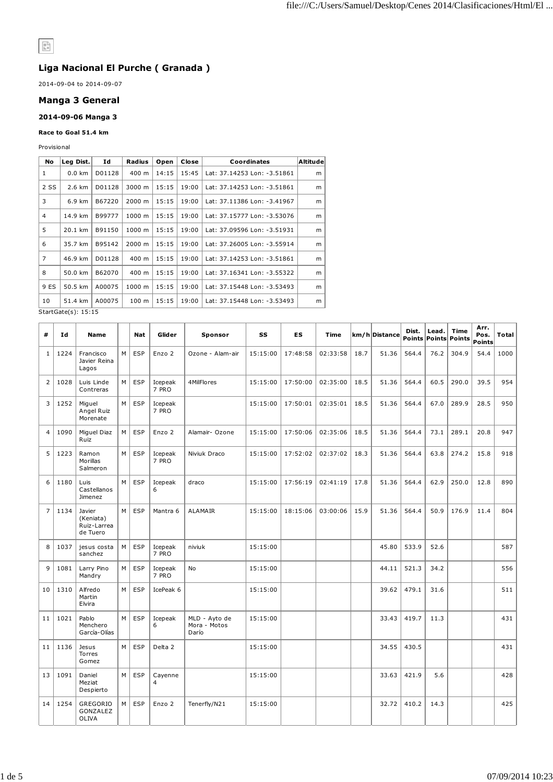# $\begin{array}{|c|} \hline 0 \\ \hline h = \end{array}$

## **Liga Nacional El Purche ( Granada )**

2014-09-04 to 2014-09-07

#### **Manga 3 General**

#### **2014-09-06 Manga 3**

#### **Race to Goal 51.4 km**

Provisional

| No             | Leg Dist.                   | Ιd     | Radius | Open  | Close | Coordinates                 | <b>Altitude</b> |
|----------------|-----------------------------|--------|--------|-------|-------|-----------------------------|-----------------|
| 1              | $0.0 \text{ km}$            | D01128 | 400 m  | 14:15 | 15:45 | Lat: 37.14253 Lon: -3.51861 | m               |
| 2 SS           | 2.6 km                      | D01128 | 3000 m | 15:15 | 19:00 | Lat: 37.14253 Lon: -3.51861 | m               |
| 3              | 6.9 km                      | B67220 | 2000 m | 15:15 | 19:00 | Lat: 37.11386 Lon: -3.41967 | m               |
| $\overline{4}$ | 14.9 km                     | B99777 | 1000 m | 15:15 | 19:00 | Lat: 37.15777 Lon: -3.53076 | m               |
| 5              | 20.1 km                     | B91150 | 1000 m | 15:15 | 19:00 | Lat: 37.09596 Lon: -3.51931 | m               |
| 6              | 35.7 km                     | B95142 | 2000 m | 15:15 | 19:00 | Lat: 37.26005 Lon: -3.55914 | m               |
| $\overline{7}$ | 46.9 km                     | D01128 | 400 m  | 15:15 | 19:00 | Lat: 37.14253 Lon: -3.51861 | m               |
| 8              | 50.0 km                     | B62070 | 400 m  | 15:15 | 19:00 | Lat: 37.16341 Lon: -3.55322 | m               |
| 9 ES           | 50.5 km                     | A00075 | 1000 m | 15:15 | 19:00 | Lat: 37.15448 Lon: -3.53493 | m               |
| 10             | 51.4 km                     | A00075 | 100 m  | 15:15 | 19:00 | Lat: 37.15448 Lon: -3.53493 | m               |
|                | $StartGate( c) \cdot 15.15$ |        |        |       |       |                             |                 |

StartGate(s): 15:15

| #              | Id   | <b>Name</b>                                    |   | <b>Nat</b> | Glider                    | Sponsor                                | SS       | <b>ES</b> | Time     |      | km/h Distance | Dist. | Lead. | Time<br>Points Points Points | Arr.<br>Pos.   | <b>Total</b> |
|----------------|------|------------------------------------------------|---|------------|---------------------------|----------------------------------------|----------|-----------|----------|------|---------------|-------|-------|------------------------------|----------------|--------------|
| $\mathbf{1}$   | 1224 | Francisco<br>Javier Reina<br>Lagos             | M | ESP        | Enzo 2                    | Ozone - Alam-air                       | 15:15:00 | 17:48:58  | 02:33:58 | 18.7 | 51.36         | 564.4 | 76.2  | 304.9                        | Points<br>54.4 | 1000         |
| $\overline{2}$ | 1028 | Luis Linde<br>Contreras                        | M | <b>ESP</b> | Icepeak<br>7 PRO          | 4MilFlores                             | 15:15:00 | 17:50:00  | 02:35:00 | 18.5 | 51.36         | 564.4 | 60.5  | 290.0                        | 39.5           | 954          |
| 3              | 1252 | Miguel<br>Angel Ruiz<br>Morenate               | M | ESP        | Icepeak<br>7 PRO          |                                        | 15:15:00 | 17:50:01  | 02:35:01 | 18.5 | 51.36         | 564.4 | 67.0  | 289.9                        | 28.5           | 950          |
| $\overline{4}$ | 1090 | Miguel Diaz<br>Ruiz                            | M | <b>ESP</b> | Enzo 2                    | Alamair-Ozone                          | 15:15:00 | 17:50:06  | 02:35:06 | 18.5 | 51.36         | 564.4 | 73.1  | 289.1                        | 20.8           | 947          |
| 5              | 1223 | Ramon<br>Morillas<br>Salmeron                  | M | <b>ESP</b> | Icepeak<br>7 PRO          | Niviuk Draco                           | 15:15:00 | 17:52:02  | 02:37:02 | 18.3 | 51.36         | 564.4 | 63.8  | 274.2                        | 15.8           | 918          |
| 6              | 1180 | Luis<br>Castellanos<br>Jimenez                 | M | <b>ESP</b> | Icepeak<br>6              | draco                                  | 15:15:00 | 17:56:19  | 02:41:19 | 17.8 | 51.36         | 564.4 | 62.9  | 250.0                        | 12.8           | 890          |
| $\overline{7}$ | 1134 | Javier<br>(Keniata)<br>Ruiz-Larrea<br>de Tuero | M | <b>ESP</b> | Mantra 6                  | <b>ALAMAIR</b>                         | 15:15:00 | 18:15:06  | 03:00:06 | 15.9 | 51.36         | 564.4 | 50.9  | 176.9                        | 11.4           | 804          |
| 8              | 1037 | jesus costa<br>sanchez                         | M | <b>ESP</b> | Icepeak<br>7 PRO          | niviuk                                 | 15:15:00 |           |          |      | 45.80         | 533.9 | 52.6  |                              |                | 587          |
| 9              | 1081 | Larry Pino<br>Mandry                           | M | <b>ESP</b> | Icepeak<br>7 PRO          | No                                     | 15:15:00 |           |          |      | 44.11         | 521.3 | 34.2  |                              |                | 556          |
| 10             | 1310 | Alfredo<br>Martin<br>Elvira                    | M | <b>ESP</b> | IcePeak 6                 |                                        | 15:15:00 |           |          |      | 39.62         | 479.1 | 31.6  |                              |                | 511          |
| 11             | 1021 | Pablo<br>Menchero<br>García-Olías              | M | ESP        | Icepeak<br>6              | MLD - Ayto de<br>Mora - Motos<br>Darío | 15:15:00 |           |          |      | 33.43         | 419.7 | 11.3  |                              |                | 431          |
| 11             | 1136 | Jesus<br>Torres<br>Gomez                       | M | ESP        | Delta 2                   |                                        | 15:15:00 |           |          |      | 34.55         | 430.5 |       |                              |                | 431          |
| 13             | 1091 | Daniel<br>Meziat<br>Despierto                  | M | <b>ESP</b> | Cayenne<br>$\overline{4}$ |                                        | 15:15:00 |           |          |      | 33.63         | 421.9 | 5.6   |                              |                | 428          |
| 14             | 1254 | GREGORIO<br>GONZALEZ<br>OLIVA                  | M | <b>ESP</b> | Enzo 2                    | Tenerfly/N21                           | 15:15:00 |           |          |      | 32.72         | 410.2 | 14.3  |                              |                | 425          |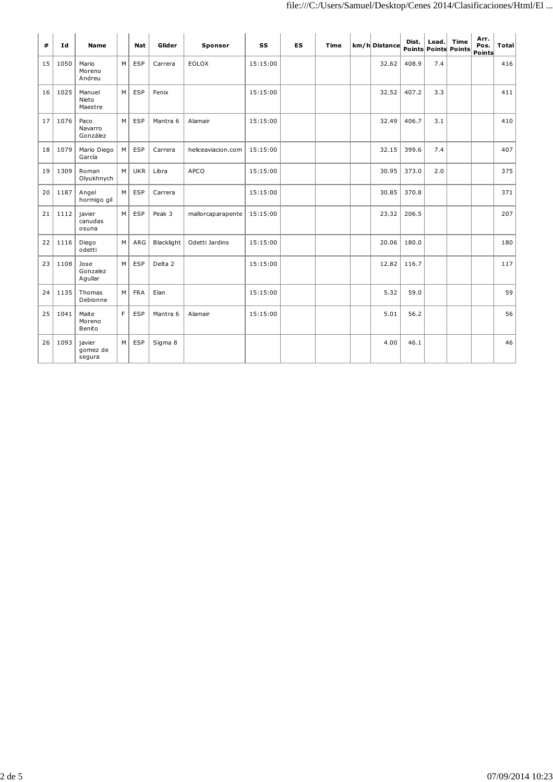| #  | Id   | <b>Name</b>                  |   | <b>Nat</b> | Glider     | Sponsor            | <b>SS</b> | <b>ES</b> | Time | km/h Distance | Dist. | Lead. | Time<br><b>Points Points Points</b> | Arr.<br>Pos.<br>Points | <b>Total</b> |
|----|------|------------------------------|---|------------|------------|--------------------|-----------|-----------|------|---------------|-------|-------|-------------------------------------|------------------------|--------------|
| 15 | 1050 | Mario<br>Moreno<br>Andreu    | M | ESP        | Carrera    | <b>EOLOX</b>       | 15:15:00  |           |      | 32.62         | 408.9 | 7.4   |                                     |                        | 416          |
| 16 | 1025 | Manuel<br>Nieto<br>Maestre   | M | ESP        | Fenix      |                    | 15:15:00  |           |      | 32.52         | 407.2 | 3.3   |                                     |                        | 411          |
| 17 | 1076 | Paco<br>Navarro<br>González  | M | ESP        | Mantra 6   | Alamair            | 15:15:00  |           |      | 32.49         | 406.7 | 3.1   |                                     |                        | 410          |
| 18 | 1079 | Mario Diego<br>García        | M | ESP        | Carrera    | heliceaviacion.com | 15:15:00  |           |      | 32.15         | 399.6 | 7.4   |                                     |                        | 407          |
| 19 | 1309 | Roman<br>Olyukhnych          | M | <b>UKR</b> | Libra      | <b>APCO</b>        | 15:15:00  |           |      | 30.95         | 373.0 | 2.0   |                                     |                        | 375          |
| 20 | 1187 | Angel<br>hormigo gil         | M | ESP        | Carrera    |                    | 15:15:00  |           |      | 30.85         | 370.8 |       |                                     |                        | 371          |
| 21 | 1112 | iavier<br>canudas<br>osuna   | M | ESP        | Peak 3     | mallorcaparapente  | 15:15:00  |           |      | 23.32         | 206.5 |       |                                     |                        | 207          |
| 22 | 1116 | Diego<br>odetti              | M | ARG        | Blacklight | Odetti Jardins     | 15:15:00  |           |      | 20.06         | 180.0 |       |                                     |                        | 180          |
| 23 | 1108 | Jose<br>Gonzalez<br>Aquilar  | M | ESP        | Delta 2    |                    | 15:15:00  |           |      | 12.82         | 116.7 |       |                                     |                        | 117          |
| 24 | 1135 | Thomas<br>Debionne           | M | <b>FRA</b> | Elan       |                    | 15:15:00  |           |      | 5.32          | 59.0  |       |                                     |                        | 59           |
| 25 | 1041 | Maite<br>Moreno<br>Benito    | F | <b>ESP</b> | Mantra 6   | Alamair            | 15:15:00  |           |      | 5.01          | 56.2  |       |                                     |                        | 56           |
| 26 | 1093 | javier<br>gomez de<br>segura | M | ESP        | Sigma 8    |                    |           |           |      | 4.00          | 46.1  |       |                                     |                        | 46           |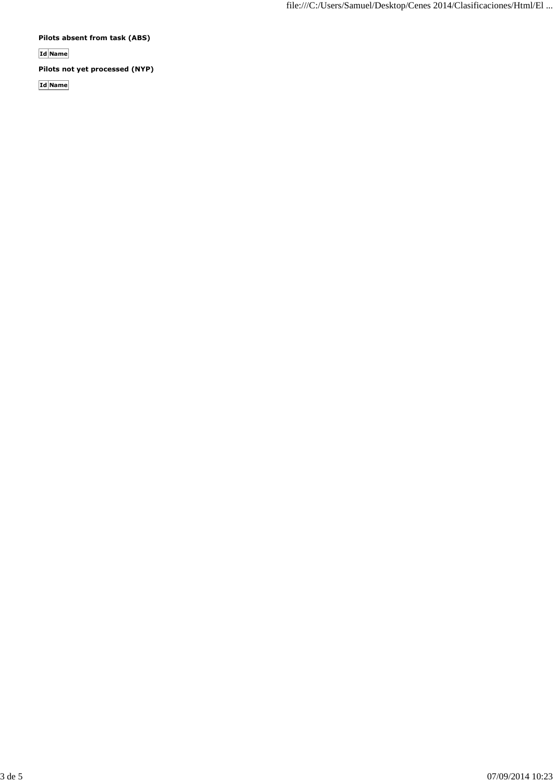**Pilots absent from task (ABS)**

**Id Name**

**Pilots not yet processed (NYP)**

**Id Name**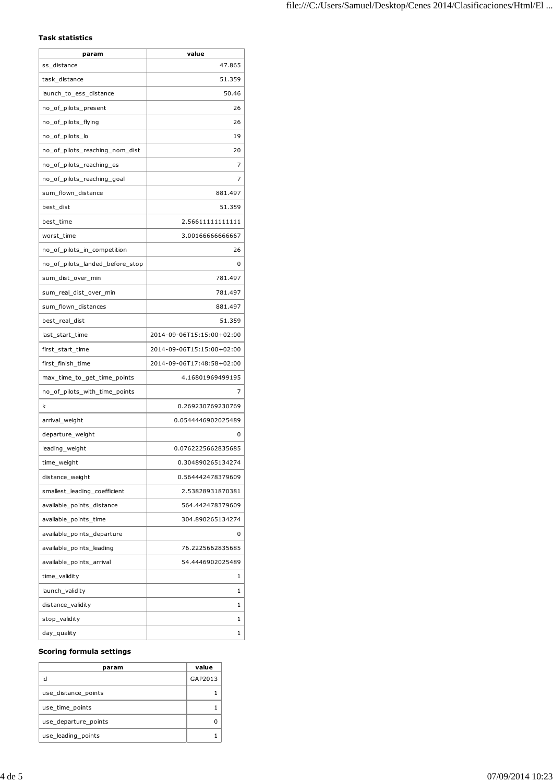### **Task statistics**

| 47.865<br>ss_distance<br>51.359<br>task distance<br>50.46<br>launch_to_ess_distance<br>26<br>no_of_pilots_present<br>no_of_pilots_flying<br>26<br>no_of_pilots_lo<br>19<br>no_of_pilots_reaching_nom_dist<br>20<br>7<br>no_of_pilots_reaching_es<br>no_of_pilots_reaching_goal<br>7<br>sum_flown_distance<br>881.497<br>51.359<br>best_dist<br>best_time<br>2.56611111111111<br>3.00166666666667<br>worst_time<br>no_of_pilots_in_competition<br>26<br>no_of_pilots_landed_before_stop<br>0<br>781.497<br>sum_dist_over_min<br>sum_real_dist_over_min<br>781.497<br>881.497<br>sum_flown_distances<br>51.359<br>best_real_dist<br>2014-09-06T15:15:00+02:00<br>last_start_time<br>2014-09-06T15:15:00+02:00<br>first_start_time<br>first_finish_time<br>2014-09-06T17:48:58+02:00<br>max_time_to_get_time_points<br>4.16801969499195<br>no_of_pilots_with_time_points<br>7<br>0.269230769230769<br>k<br>0.0544446902025489<br>arrival_weight<br>departure_weight<br>0<br>0.0762225662835685<br>leading_weight<br>0.304890265134274<br>time weight<br>distance_weight<br>0.564442478379609<br>smallest_leading_coefficient<br>2.53828931870381<br>available_points_distance<br>564.442478379609<br>available_points_time<br>304.890265134274<br>available_points_departure<br>0<br>available_points_leading<br>76.2225662835685<br>54.4446902025489<br>available points arrival<br>time_validity<br>1<br>launch_validity<br>1<br>distance_validity<br>1<br>stop_validity<br>1<br>day_quality<br>1 | param | value |
|--------------------------------------------------------------------------------------------------------------------------------------------------------------------------------------------------------------------------------------------------------------------------------------------------------------------------------------------------------------------------------------------------------------------------------------------------------------------------------------------------------------------------------------------------------------------------------------------------------------------------------------------------------------------------------------------------------------------------------------------------------------------------------------------------------------------------------------------------------------------------------------------------------------------------------------------------------------------------------------------------------------------------------------------------------------------------------------------------------------------------------------------------------------------------------------------------------------------------------------------------------------------------------------------------------------------------------------------------------------------------------------------------------------------------------------------------------------------------------------------------|-------|-------|
|                                                                                                                                                                                                                                                                                                                                                                                                                                                                                                                                                                                                                                                                                                                                                                                                                                                                                                                                                                                                                                                                                                                                                                                                                                                                                                                                                                                                                                                                                                  |       |       |
|                                                                                                                                                                                                                                                                                                                                                                                                                                                                                                                                                                                                                                                                                                                                                                                                                                                                                                                                                                                                                                                                                                                                                                                                                                                                                                                                                                                                                                                                                                  |       |       |
|                                                                                                                                                                                                                                                                                                                                                                                                                                                                                                                                                                                                                                                                                                                                                                                                                                                                                                                                                                                                                                                                                                                                                                                                                                                                                                                                                                                                                                                                                                  |       |       |
|                                                                                                                                                                                                                                                                                                                                                                                                                                                                                                                                                                                                                                                                                                                                                                                                                                                                                                                                                                                                                                                                                                                                                                                                                                                                                                                                                                                                                                                                                                  |       |       |
|                                                                                                                                                                                                                                                                                                                                                                                                                                                                                                                                                                                                                                                                                                                                                                                                                                                                                                                                                                                                                                                                                                                                                                                                                                                                                                                                                                                                                                                                                                  |       |       |
|                                                                                                                                                                                                                                                                                                                                                                                                                                                                                                                                                                                                                                                                                                                                                                                                                                                                                                                                                                                                                                                                                                                                                                                                                                                                                                                                                                                                                                                                                                  |       |       |
|                                                                                                                                                                                                                                                                                                                                                                                                                                                                                                                                                                                                                                                                                                                                                                                                                                                                                                                                                                                                                                                                                                                                                                                                                                                                                                                                                                                                                                                                                                  |       |       |
|                                                                                                                                                                                                                                                                                                                                                                                                                                                                                                                                                                                                                                                                                                                                                                                                                                                                                                                                                                                                                                                                                                                                                                                                                                                                                                                                                                                                                                                                                                  |       |       |
|                                                                                                                                                                                                                                                                                                                                                                                                                                                                                                                                                                                                                                                                                                                                                                                                                                                                                                                                                                                                                                                                                                                                                                                                                                                                                                                                                                                                                                                                                                  |       |       |
|                                                                                                                                                                                                                                                                                                                                                                                                                                                                                                                                                                                                                                                                                                                                                                                                                                                                                                                                                                                                                                                                                                                                                                                                                                                                                                                                                                                                                                                                                                  |       |       |
|                                                                                                                                                                                                                                                                                                                                                                                                                                                                                                                                                                                                                                                                                                                                                                                                                                                                                                                                                                                                                                                                                                                                                                                                                                                                                                                                                                                                                                                                                                  |       |       |
|                                                                                                                                                                                                                                                                                                                                                                                                                                                                                                                                                                                                                                                                                                                                                                                                                                                                                                                                                                                                                                                                                                                                                                                                                                                                                                                                                                                                                                                                                                  |       |       |
|                                                                                                                                                                                                                                                                                                                                                                                                                                                                                                                                                                                                                                                                                                                                                                                                                                                                                                                                                                                                                                                                                                                                                                                                                                                                                                                                                                                                                                                                                                  |       |       |
|                                                                                                                                                                                                                                                                                                                                                                                                                                                                                                                                                                                                                                                                                                                                                                                                                                                                                                                                                                                                                                                                                                                                                                                                                                                                                                                                                                                                                                                                                                  |       |       |
|                                                                                                                                                                                                                                                                                                                                                                                                                                                                                                                                                                                                                                                                                                                                                                                                                                                                                                                                                                                                                                                                                                                                                                                                                                                                                                                                                                                                                                                                                                  |       |       |
|                                                                                                                                                                                                                                                                                                                                                                                                                                                                                                                                                                                                                                                                                                                                                                                                                                                                                                                                                                                                                                                                                                                                                                                                                                                                                                                                                                                                                                                                                                  |       |       |
|                                                                                                                                                                                                                                                                                                                                                                                                                                                                                                                                                                                                                                                                                                                                                                                                                                                                                                                                                                                                                                                                                                                                                                                                                                                                                                                                                                                                                                                                                                  |       |       |
|                                                                                                                                                                                                                                                                                                                                                                                                                                                                                                                                                                                                                                                                                                                                                                                                                                                                                                                                                                                                                                                                                                                                                                                                                                                                                                                                                                                                                                                                                                  |       |       |
|                                                                                                                                                                                                                                                                                                                                                                                                                                                                                                                                                                                                                                                                                                                                                                                                                                                                                                                                                                                                                                                                                                                                                                                                                                                                                                                                                                                                                                                                                                  |       |       |
|                                                                                                                                                                                                                                                                                                                                                                                                                                                                                                                                                                                                                                                                                                                                                                                                                                                                                                                                                                                                                                                                                                                                                                                                                                                                                                                                                                                                                                                                                                  |       |       |
|                                                                                                                                                                                                                                                                                                                                                                                                                                                                                                                                                                                                                                                                                                                                                                                                                                                                                                                                                                                                                                                                                                                                                                                                                                                                                                                                                                                                                                                                                                  |       |       |
|                                                                                                                                                                                                                                                                                                                                                                                                                                                                                                                                                                                                                                                                                                                                                                                                                                                                                                                                                                                                                                                                                                                                                                                                                                                                                                                                                                                                                                                                                                  |       |       |
|                                                                                                                                                                                                                                                                                                                                                                                                                                                                                                                                                                                                                                                                                                                                                                                                                                                                                                                                                                                                                                                                                                                                                                                                                                                                                                                                                                                                                                                                                                  |       |       |
|                                                                                                                                                                                                                                                                                                                                                                                                                                                                                                                                                                                                                                                                                                                                                                                                                                                                                                                                                                                                                                                                                                                                                                                                                                                                                                                                                                                                                                                                                                  |       |       |
|                                                                                                                                                                                                                                                                                                                                                                                                                                                                                                                                                                                                                                                                                                                                                                                                                                                                                                                                                                                                                                                                                                                                                                                                                                                                                                                                                                                                                                                                                                  |       |       |
|                                                                                                                                                                                                                                                                                                                                                                                                                                                                                                                                                                                                                                                                                                                                                                                                                                                                                                                                                                                                                                                                                                                                                                                                                                                                                                                                                                                                                                                                                                  |       |       |
|                                                                                                                                                                                                                                                                                                                                                                                                                                                                                                                                                                                                                                                                                                                                                                                                                                                                                                                                                                                                                                                                                                                                                                                                                                                                                                                                                                                                                                                                                                  |       |       |
|                                                                                                                                                                                                                                                                                                                                                                                                                                                                                                                                                                                                                                                                                                                                                                                                                                                                                                                                                                                                                                                                                                                                                                                                                                                                                                                                                                                                                                                                                                  |       |       |
|                                                                                                                                                                                                                                                                                                                                                                                                                                                                                                                                                                                                                                                                                                                                                                                                                                                                                                                                                                                                                                                                                                                                                                                                                                                                                                                                                                                                                                                                                                  |       |       |
|                                                                                                                                                                                                                                                                                                                                                                                                                                                                                                                                                                                                                                                                                                                                                                                                                                                                                                                                                                                                                                                                                                                                                                                                                                                                                                                                                                                                                                                                                                  |       |       |
|                                                                                                                                                                                                                                                                                                                                                                                                                                                                                                                                                                                                                                                                                                                                                                                                                                                                                                                                                                                                                                                                                                                                                                                                                                                                                                                                                                                                                                                                                                  |       |       |
|                                                                                                                                                                                                                                                                                                                                                                                                                                                                                                                                                                                                                                                                                                                                                                                                                                                                                                                                                                                                                                                                                                                                                                                                                                                                                                                                                                                                                                                                                                  |       |       |
|                                                                                                                                                                                                                                                                                                                                                                                                                                                                                                                                                                                                                                                                                                                                                                                                                                                                                                                                                                                                                                                                                                                                                                                                                                                                                                                                                                                                                                                                                                  |       |       |
|                                                                                                                                                                                                                                                                                                                                                                                                                                                                                                                                                                                                                                                                                                                                                                                                                                                                                                                                                                                                                                                                                                                                                                                                                                                                                                                                                                                                                                                                                                  |       |       |
|                                                                                                                                                                                                                                                                                                                                                                                                                                                                                                                                                                                                                                                                                                                                                                                                                                                                                                                                                                                                                                                                                                                                                                                                                                                                                                                                                                                                                                                                                                  |       |       |
|                                                                                                                                                                                                                                                                                                                                                                                                                                                                                                                                                                                                                                                                                                                                                                                                                                                                                                                                                                                                                                                                                                                                                                                                                                                                                                                                                                                                                                                                                                  |       |       |
|                                                                                                                                                                                                                                                                                                                                                                                                                                                                                                                                                                                                                                                                                                                                                                                                                                                                                                                                                                                                                                                                                                                                                                                                                                                                                                                                                                                                                                                                                                  |       |       |
|                                                                                                                                                                                                                                                                                                                                                                                                                                                                                                                                                                                                                                                                                                                                                                                                                                                                                                                                                                                                                                                                                                                                                                                                                                                                                                                                                                                                                                                                                                  |       |       |
|                                                                                                                                                                                                                                                                                                                                                                                                                                                                                                                                                                                                                                                                                                                                                                                                                                                                                                                                                                                                                                                                                                                                                                                                                                                                                                                                                                                                                                                                                                  |       |       |
|                                                                                                                                                                                                                                                                                                                                                                                                                                                                                                                                                                                                                                                                                                                                                                                                                                                                                                                                                                                                                                                                                                                                                                                                                                                                                                                                                                                                                                                                                                  |       |       |
|                                                                                                                                                                                                                                                                                                                                                                                                                                                                                                                                                                                                                                                                                                                                                                                                                                                                                                                                                                                                                                                                                                                                                                                                                                                                                                                                                                                                                                                                                                  |       |       |

#### **Scoring formula settings**

| param                | value   |
|----------------------|---------|
| id                   | GAP2013 |
| use distance points  |         |
| use time points      |         |
| use_departure_points |         |
| use leading points   |         |